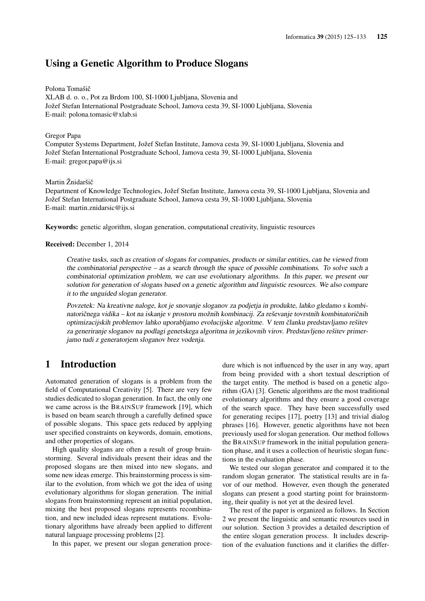# Using a Genetic Algorithm to Produce Slogans

## Polona Tomašič

XLAB d. o. o., Pot za Brdom 100, SI-1000 Ljubljana, Slovenia and Jožef Stefan International Postgraduate School, Jamova cesta 39, SI-1000 Ljubljana, Slovenia E-mail: polona.tomasic@xlab.si

## Gregor Papa

Computer Systems Department, Jožef Stefan Institute, Jamova cesta 39, SI-1000 Ljubljana, Slovenia and Jožef Stefan International Postgraduate School, Jamova cesta 39, SI-1000 Ljubljana, Slovenia E-mail: gregor.papa@ijs.si

#### Martin Žnidaršič

Department of Knowledge Technologies, Jožef Stefan Institute, Jamova cesta 39, SI-1000 Ljubljana, Slovenia and Jožef Stefan International Postgraduate School, Jamova cesta 39, SI-1000 Ljubljana, Slovenia E-mail: martin.znidarsic@ijs.si

Keywords: genetic algorithm, slogan generation, computational creativity, linguistic resources

#### Received: December 1, 2014

Creative tasks, such as creation of slogans for companies, products or similar entities, can be viewed from the combinatorial perspective – as a search through the space of possible combinations. To solve such a combinatorial optimization problem, we can use evolutionary algorithms. In this paper, we present our solution for generation of slogans based on a genetic algorithm and linguistic resources. We also compare it to the unguided slogan generator.

Povzetek: Na kreativne naloge, kot je snovanje sloganov za podjetja in produkte, lahko gledamo s kombinatoričnega vidika – kot na iskanje v prostoru možnih kombinacij. Za reševanje tovrstnih kombinatoričnih optimizacijskih problemov lahko uporabljamo evolucijske algoritme. V tem članku predstavljamo rešitev za generiranje sloganov na podlagi genetskega algoritma in jezikovnih virov. Predstavljeno rešitev primerjamo tudi z generatorjem sloganov brez vodenja.

# 1 Introduction

Automated generation of slogans is a problem from the field of Computational Creativity [5]. There are very few studies dedicated to slogan generation. In fact, the only one we came across is the BRAINSUP framework [19], which is based on beam search through a carefully defined space of possible slogans. This space gets reduced by applying user specified constraints on keywords, domain, emotions, and other properties of slogans.

High quality slogans are often a result of group brainstorming. Several individuals present their ideas and the proposed slogans are then mixed into new slogans, and some new ideas emerge. This brainstorming process is similar to the evolution, from which we got the idea of using evolutionary algorithms for slogan generation. The initial slogans from brainstorming represent an initial population, mixing the best proposed slogans represents recombination, and new included ideas represent mutations. Evolutionary algorithms have already been applied to different natural language processing problems [2].

In this paper, we present our slogan generation proce-

dure which is not influenced by the user in any way, apart from being provided with a short textual description of the target entity. The method is based on a genetic algorithm (GA) [3]. Genetic algorithms are the most traditional evolutionary algorithms and they ensure a good coverage of the search space. They have been successfully used for generating recipes [17], poetry [13] and trivial dialog phrases [16]. However, genetic algorithms have not been previously used for slogan generation. Our method follows the BRAINSUP framework in the initial population generation phase, and it uses a collection of heuristic slogan functions in the evaluation phase.

We tested our slogan generator and compared it to the random slogan generator. The statistical results are in favor of our method. However, even though the generated slogans can present a good starting point for brainstorming, their quality is not yet at the desired level.

The rest of the paper is organized as follows. In Section 2 we present the linguistic and semantic resources used in our solution. Section 3 provides a detailed description of the entire slogan generation process. It includes description of the evaluation functions and it clarifies the differ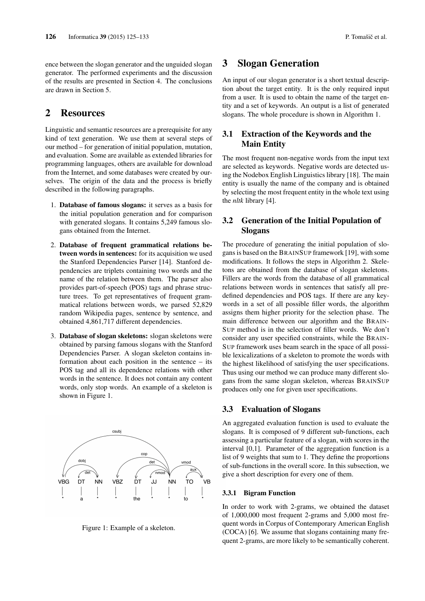ence between the slogan generator and the unguided slogan generator. The performed experiments and the discussion of the results are presented in Section 4. The conclusions are drawn in Section 5.

# 2 Resources

Linguistic and semantic resources are a prerequisite for any kind of text generation. We use them at several steps of our method – for generation of initial population, mutation, and evaluation. Some are available as extended libraries for programming languages, others are available for download from the Internet, and some databases were created by ourselves. The origin of the data and the process is briefly described in the following paragraphs.

- 1. Database of famous slogans: it serves as a basis for the initial population generation and for comparison with generated slogans. It contains 5,249 famous slogans obtained from the Internet.
- 2. Database of frequent grammatical relations between words in sentences: for its acquisition we used the Stanford Dependencies Parser [14]. Stanford dependencies are triplets containing two words and the name of the relation between them. The parser also provides part-of-speech (POS) tags and phrase structure trees. To get representatives of frequent grammatical relations between words, we parsed 52,829 random Wikipedia pages, sentence by sentence, and obtained 4,861,717 different dependencies.
- 3. Database of slogan skeletons: slogan skeletons were obtained by parsing famous slogans with the Stanford Dependencies Parser. A slogan skeleton contains information about each position in the sentence – its POS tag and all its dependence relations with other words in the sentence. It does not contain any content words, only stop words. An example of a skeleton is shown in Figure 1.



Figure 1: Example of a skeleton.

# 3 Slogan Generation

An input of our slogan generator is a short textual description about the target entity. It is the only required input from a user. It is used to obtain the name of the target entity and a set of keywords. An output is a list of generated slogans. The whole procedure is shown in Algorithm 1.

# 3.1 Extraction of the Keywords and the Main Entity

The most frequent non-negative words from the input text are selected as keywords. Negative words are detected using the Nodebox English Linguistics library [18]. The main entity is usually the name of the company and is obtained by selecting the most frequent entity in the whole text using the *nltk* library [4].

# 3.2 Generation of the Initial Population of Slogans

The procedure of generating the initial population of slogans is based on the BRAINSUP framework [19], with some modifications. It follows the steps in Algorithm 2. Skeletons are obtained from the database of slogan skeletons. Fillers are the words from the database of all grammatical relations between words in sentences that satisfy all predefined dependencies and POS tags. If there are any keywords in a set of all possible filler words, the algorithm assigns them higher priority for the selection phase. The main difference between our algorithm and the BRAIN-SUP method is in the selection of filler words. We don't consider any user specified constraints, while the BRAIN-SUP framework uses beam search in the space of all possible lexicalizations of a skeleton to promote the words with the highest likelihood of satisfying the user specifications. Thus using our method we can produce many different slogans from the same slogan skeleton, whereas BRAINSUP produces only one for given user specifications.

# 3.3 Evaluation of Slogans

An aggregated evaluation function is used to evaluate the slogans. It is composed of 9 different sub-functions, each assessing a particular feature of a slogan, with scores in the interval [0,1]. Parameter of the aggregation function is a list of 9 weights that sum to 1. They define the proportions of sub-functions in the overall score. In this subsection, we give a short description for every one of them.

## 3.3.1 Bigram Function

In order to work with 2-grams, we obtained the dataset of 1,000,000 most frequent 2-grams and 5,000 most frequent words in Corpus of Contemporary American English (COCA) [6]. We assume that slogans containing many frequent 2-grams, are more likely to be semantically coherent.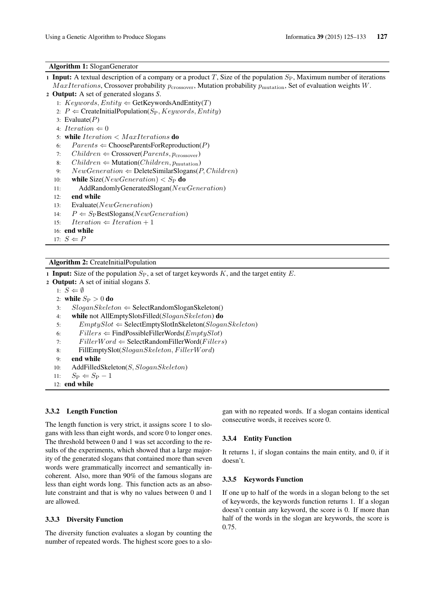### Algorithm 1: SloganGenerator

- 1 Input: A textual description of a company or a product T, Size of the population  $S_P$ , Maximum number of iterations  $MaxIterations$ , Crossover probability  $p_{\text{crossover}}$ , Mutation probability  $p_{\text{mutation}}$ , Set of evaluation weights  $W$ .
- <sup>2</sup> Output: A set of generated slogans *S*.
	- 1:  $Keywords, Entity \leftarrow GetKeywordsAndEntity(T)$
	- 2:  $P \leftarrow$  CreateInitialPopulation(S<sub>P</sub>, Keywords, Entity)
	- 3: Evaluate $(P)$
	- 4: Iteration  $\Leftarrow 0$
	- 5: while  $Iteration < MaxIterations$  do
	- 6:  $Parents \Leftarrow ChooseParentsForReproduction(P)$
	- 7:  $Children \Leftarrow \text{Crossover}(Parents, p_{\text{crossover}})$
	- 8:  $Children \leftarrow \text{Mutation}(Children, p_{mutation})$
	- 9:  $NewGeneration \leftarrow$  DeleteSimilarSlogans(P, Children)
	- 10: while  $Size(NewGeneration) < S_P$  do
	- 11: AddRandomlyGeneratedSlogan(NewGeneration)
	- 12: end while

```
13: Evaluate(NewGeneration)
```
- 14:  $P \Leftarrow S_P$ BestSlogans(NewGeneration)
- 15:  $Iteration \Leftarrow Iteration + 1$
- 16: end while 17:  $S \Leftarrow P$

## Algorithm 2: CreateInitialPopulation

1 Input: Size of the population  $S_P$ , a set of target keywords K, and the target entity E.

<sup>2</sup> Output: A set of initial slogans *S*.

```
1: S \Leftarrow \emptyset2: while S_P > 0 do
3: SloganSkeleton \Leftarrow SelectRandomSloganSkeleton()4: while not AllEmptySlotsFilled(SloganSkeleton) do
5: EmptySlot \Leftarrow SelectEmptySlotNSelection(SloganSkeleton)6: Fillers \leftarrow Find PossibleFilterWords(EmptySlot)7: FillerWord \Leftarrow SelectRandomFilterWord(Fillers)8: FillEmptySlot(SloganSkeleton, FillerWord)
9: end while
10: AddFilledSkeleton(S, SloganSkeleton)
```
- 11:  $S_{\rm P} \Leftarrow S_{\rm P} 1$
- 12: end while

## 3.3.2 Length Function

The length function is very strict, it assigns score 1 to slogans with less than eight words, and score 0 to longer ones. The threshold between 0 and 1 was set according to the results of the experiments, which showed that a large majority of the generated slogans that contained more than seven words were grammatically incorrect and semantically incoherent. Also, more than 90% of the famous slogans are less than eight words long. This function acts as an absolute constraint and that is why no values between 0 and 1 are allowed.

#### 3.3.3 Diversity Function

The diversity function evaluates a slogan by counting the number of repeated words. The highest score goes to a slogan with no repeated words. If a slogan contains identical consecutive words, it receives score 0.

#### 3.3.4 Entity Function

It returns 1, if slogan contains the main entity, and 0, if it doesn't.

## 3.3.5 Keywords Function

If one up to half of the words in a slogan belong to the set of keywords, the keywords function returns 1. If a slogan doesn't contain any keyword, the score is 0. If more than half of the words in the slogan are keywords, the score is 0.75.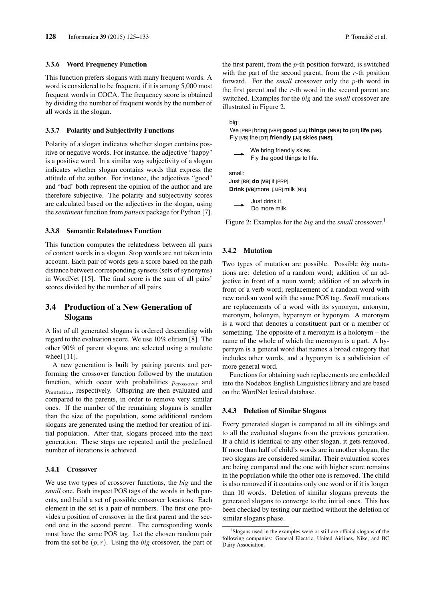#### 3.3.6 Word Frequency Function

This function prefers slogans with many frequent words. A word is considered to be frequent, if it is among 5,000 most frequent words in COCA. The frequency score is obtained by dividing the number of frequent words by the number of all words in the slogan.

#### 3.3.7 Polarity and Subjectivity Functions

Polarity of a slogan indicates whether slogan contains positive or negative words. For instance, the adjective "happy" is a positive word. In a similar way subjectivity of a slogan indicates whether slogan contains words that express the attitude of the author. For instance, the adjectives "good" and "bad" both represent the opinion of the author and are therefore subjective. The polarity and subjectivity scores are calculated based on the adjectives in the slogan, using the *sentiment* function from *pattern* package for Python [7].

#### 3.3.8 Semantic Relatedness Function

This function computes the relatedness between all pairs of content words in a slogan. Stop words are not taken into account. Each pair of words gets a score based on the path distance between corresponding synsets (sets of synonyms) in WordNet [15]. The final score is the sum of all pairs' scores divided by the number of all pairs.

# 3.4 Production of a New Generation of Slogans

A list of all generated slogans is ordered descending with regard to the evaluation score. We use 10% elitism [8]. The other 90% of parent slogans are selected using a roulette wheel [11].

A new generation is built by pairing parents and performing the crossover function followed by the mutation function, which occur with probabilities  $p_{\text{crossover}}$  and  $p_{\text{mutation}}$ , respectively. Offspring are then evaluated and compared to the parents, in order to remove very similar ones. If the number of the remaining slogans is smaller than the size of the population, some additional random slogans are generated using the method for creation of initial population. After that, slogans proceed into the next generation. These steps are repeated until the predefined number of iterations is achieved.

## 3.4.1 Crossover

We use two types of crossover functions, the *big* and the *small* one. Both inspect POS tags of the words in both parents, and build a set of possible crossover locations. Each element in the set is a pair of numbers. The first one provides a position of crossover in the first parent and the second one in the second parent. The corresponding words must have the same POS tag. Let the chosen random pair from the set be  $(p, r)$ . Using the *big* crossover, the part of the first parent, from the  $p$ -th position forward, is switched with the part of the second parent, from the  $r$ -th position forward. For the *small* crossover only the p-th word in the first parent and the  $r$ -th word in the second parent are switched. Examples for the *big* and the *small* crossover are illustrated in Figure 2.

big:

We [PRP] bring [VBP] **good [JJ] things [NNS] to [DT] life [NN].** Fly [VB] the [DT] **friendly [JJ] skies [NNS].**

We bring friendly skies. Fly the good things to life.

Just [RB] **do [VB]** it [PRP]. **Drink [VB]**more [JJR] milk [NN]. small:

Just drink it. Do more milk.

Figure 2: Examples for the *big* and the *small* crossover.<sup>1</sup>

#### 3.4.2 Mutation

Two types of mutation are possible. Possible *big* mutations are: deletion of a random word; addition of an adjective in front of a noun word; addition of an adverb in front of a verb word; replacement of a random word with new random word with the same POS tag. *Small* mutations are replacements of a word with its synonym, antonym, meronym, holonym, hypernym or hyponym. A meronym is a word that denotes a constituent part or a member of something. The opposite of a meronym is a holonym – the name of the whole of which the meronym is a part. A hypernym is a general word that names a broad category that includes other words, and a hyponym is a subdivision of more general word.

Functions for obtaining such replacements are embedded into the Nodebox English Linguistics library and are based on the WordNet lexical database.

## 3.4.3 Deletion of Similar Slogans

Every generated slogan is compared to all its siblings and to all the evaluated slogans from the previous generation. If a child is identical to any other slogan, it gets removed. If more than half of child's words are in another slogan, the two slogans are considered similar. Their evaluation scores are being compared and the one with higher score remains in the population while the other one is removed. The child is also removed if it contains only one word or if it is longer than 10 words. Deletion of similar slogans prevents the generated slogans to converge to the initial ones. This has been checked by testing our method without the deletion of similar slogans phase.

<sup>&</sup>lt;sup>1</sup>Slogans used in the examples were or still are official slogans of the following companies: General Electric, United Airlines, Nike, and BC Dairy Association.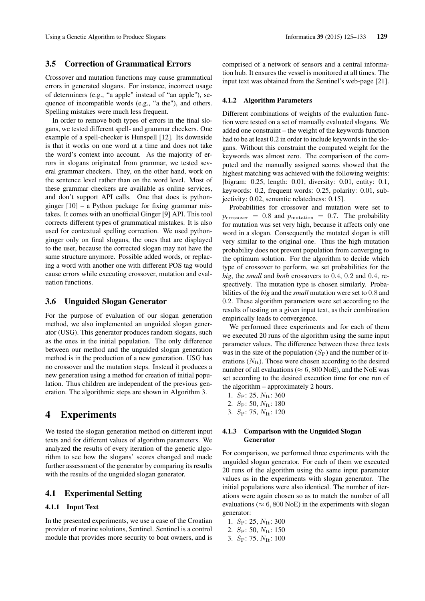# 3.5 Correction of Grammatical Errors

Crossover and mutation functions may cause grammatical errors in generated slogans. For instance, incorrect usage of determiners (e.g., "a apple" instead of "an apple"), sequence of incompatible words (e.g., "a the"), and others. Spelling mistakes were much less frequent.

In order to remove both types of errors in the final slogans, we tested different spell- and grammar checkers. One example of a spell-checker is Hunspell [12]. Its downside is that it works on one word at a time and does not take the word's context into account. As the majority of errors in slogans originated from grammar, we tested several grammar checkers. They, on the other hand, work on the sentence level rather than on the word level. Most of these grammar checkers are available as online services, and don't support API calls. One that does is pythonginger [10] – a Python package for fixing grammar mistakes. It comes with an unofficial Ginger [9] API. This tool corrects different types of grammatical mistakes. It is also used for contextual spelling correction. We used pythonginger only on final slogans, the ones that are displayed to the user, because the corrected slogan may not have the same structure anymore. Possible added words, or replacing a word with another one with different POS tag would cause errors while executing crossover, mutation and evaluation functions.

## 3.6 Unguided Slogan Generator

For the purpose of evaluation of our slogan generation method, we also implemented an unguided slogan generator (USG). This generator produces random slogans, such as the ones in the initial population. The only difference between our method and the unguided slogan generation method is in the production of a new generation. USG has no crossover and the mutation steps. Instead it produces a new generation using a method for creation of initial population. Thus children are independent of the previous generation. The algorithmic steps are shown in Algorithm 3.

# 4 Experiments

We tested the slogan generation method on different input texts and for different values of algorithm parameters. We analyzed the results of every iteration of the genetic algorithm to see how the slogans' scores changed and made further assessment of the generator by comparing its results with the results of the unguided slogan generator.

## 4.1 Experimental Setting

## 4.1.1 Input Text

In the presented experiments, we use a case of the Croatian provider of marine solutions, Sentinel. Sentinel is a control module that provides more security to boat owners, and is comprised of a network of sensors and a central information hub. It ensures the vessel is monitored at all times. The input text was obtained from the Sentinel's web-page [21].

#### 4.1.2 Algorithm Parameters

Different combinations of weights of the evaluation function were tested on a set of manually evaluated slogans. We added one constraint – the weight of the keywords function had to be at least 0.2 in order to include keywords in the slogans. Without this constraint the computed weight for the keywords was almost zero. The comparison of the computed and the manually assigned scores showed that the highest matching was achieved with the following weights: [bigram: 0.25, length: 0.01, diversity: 0.01, entity: 0.1, keywords: 0.2, frequent words: 0.25, polarity: 0.01, subjectivity: 0.02, semantic relatedness: 0.15].

Probabilities for crossover and mutation were set to  $p_{\text{crossover}} = 0.8$  and  $p_{\text{mutation}} = 0.7$ . The probability for mutation was set very high, because it affects only one word in a slogan. Consequently the mutated slogan is still very similar to the original one. Thus the high mutation probability does not prevent population from converging to the optimum solution. For the algorithm to decide which type of crossover to perform, we set probabilities for the *big*, the *small* and *both* crossovers to 0.4, 0.2 and 0.4, respectively. The mutation type is chosen similarly. Probabilities of the *big* and the *small* mutation were set to 0.8 and 0.2. These algorithm parameters were set according to the results of testing on a given input text, as their combination empirically leads to convergence.

We performed three experiments and for each of them we executed 20 runs of the algorithm using the same input parameter values. The difference between these three tests was in the size of the population  $(S_P)$  and the number of iterations  $(N_{\text{It}})$ . Those were chosen according to the desired number of all evaluations ( $\approx 6,800$  NoE), and the NoE was set according to the desired execution time for one run of the algorithm – approximately 2 hours.

- 1.  $S_P$ : 25,  $N_{It}$ : 360
- 2.  $S_P$ : 50,  $N_{It}$ : 180
- 3.  $S_P$ : 75,  $N_{It}$ : 120

## 4.1.3 Comparison with the Unguided Slogan Generator

For comparison, we performed three experiments with the unguided slogan generator. For each of them we executed 20 runs of the algorithm using the same input parameter values as in the experiments with slogan generator. The initial populations were also identical. The number of iterations were again chosen so as to match the number of all evaluations ( $\approx 6,800$  NoE) in the experiments with slogan generator:

1.  $S_P$ : 25,  $N_{It}$ : 300 2.  $S_P$ : 50,  $N_{It}$ : 150 3.  $S_P$ : 75,  $N_{It}$ : 100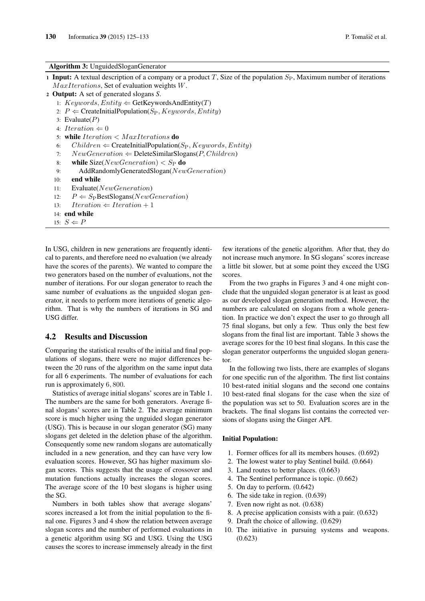### Algorithm 3: UnguidedSloganGenerator

- 1 Input: A textual description of a company or a product T, Size of the population  $S_P$ , Maximum number of iterations  $MaxIterations$ , Set of evaluation weights W.
- <sup>2</sup> Output: A set of generated slogans *S*.
	- 1:  $Keywords, Entity \leftarrow GetKeywordsAndEntity(T)$
	- 2:  $P \leftarrow$  CreateInitialPopulation(S<sub>P</sub>, Keywords, Entity)
	- 3: Evaluate $(P)$
	- 4: Iteration  $\Leftarrow 0$
	- 5: while  $Iteration < MaxIterations$  do
	- 6: Children  $\Leftarrow$  CreateInitialPopulation(S<sub>P</sub>, Keywords, Entity)
	- 7:  $NewGeneration \leftarrow$  DeleteSimilarSlogans(P, Children)
	- 8: while  $Size(NewGeneration) < S_P$  do
	- 9: AddRandomlyGeneratedSlogan(NewGeneration)
	- 10: end while

```
11: Evaluate(NewGeneration)
```
- 12:  $P \Leftarrow S_P$ BestSlogans(NewGeneration)
- 13: Iteration  $\Leftarrow$  Iteration + 1
- 14: end while
- 15:  $S \Leftarrow P$

In USG, children in new generations are frequently identical to parents, and therefore need no evaluation (we already have the scores of the parents). We wanted to compare the two generators based on the number of evaluations, not the number of iterations. For our slogan generator to reach the same number of evaluations as the unguided slogan generator, it needs to perform more iterations of genetic algorithm. That is why the numbers of iterations in SG and USG differ.

## 4.2 Results and Discussion

Comparing the statistical results of the initial and final populations of slogans, there were no major differences between the 20 runs of the algorithm on the same input data for all 6 experiments. The number of evaluations for each run is approximately 6, 800.

Statistics of average initial slogans' scores are in Table 1. The numbers are the same for both generators. Average final slogans' scores are in Table 2. The average minimum score is much higher using the unguided slogan generator (USG). This is because in our slogan generator (SG) many slogans get deleted in the deletion phase of the algorithm. Consequently some new random slogans are automatically included in a new generation, and they can have very low evaluation scores. However, SG has higher maximum slogan scores. This suggests that the usage of crossover and mutation functions actually increases the slogan scores. The average score of the 10 best slogans is higher using the SG.

Numbers in both tables show that average slogans' scores increased a lot from the initial population to the final one. Figures 3 and 4 show the relation between average slogan scores and the number of performed evaluations in a genetic algorithm using SG and USG. Using the USG causes the scores to increase immensely already in the first few iterations of the genetic algorithm. After that, they do not increase much anymore. In SG slogans' scores increase a little bit slower, but at some point they exceed the USG scores.

From the two graphs in Figures 3 and 4 one might conclude that the unguided slogan generator is at least as good as our developed slogan generation method. However, the numbers are calculated on slogans from a whole generation. In practice we don't expect the user to go through all 75 final slogans, but only a few. Thus only the best few slogans from the final list are important. Table 3 shows the average scores for the 10 best final slogans. In this case the slogan generator outperforms the unguided slogan generator.

In the following two lists, there are examples of slogans for one specific run of the algorithm. The first list contains 10 best-rated initial slogans and the second one contains 10 best-rated final slogans for the case when the size of the population was set to 50. Evaluation scores are in the brackets. The final slogans list contains the corrected versions of slogans using the Ginger API.

## Initial Population:

- 1. Former offices for all its members houses. (0.692)
- 2. The lowest water to play Sentinel build. (0.664)
- 3. Land routes to better places. (0.663)
- 4. The Sentinel performance is topic. (0.662)
- 5. On day to perform. (0.642)
- 6. The side take in region. (0.639)
- 7. Even now right as not. (0.638)
- 8. A precise application consists with a pair. (0.632)
- 9. Draft the choice of allowing. (0.629)
- 10. The initiative in pursuing systems and weapons. (0.623)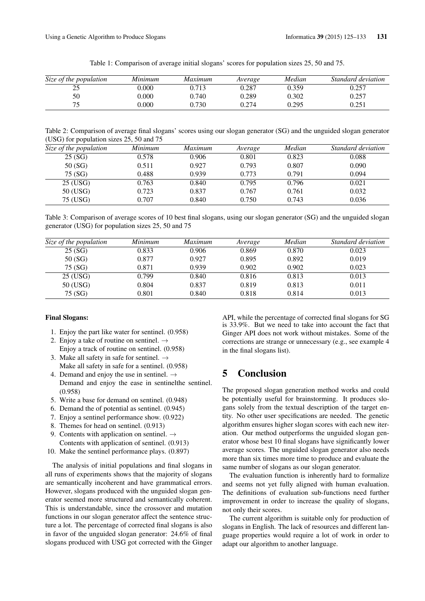| Size of the population | Minimum | Maximum | Average | Median | Standard deviation |
|------------------------|---------|---------|---------|--------|--------------------|
| າເ<br>ل ک              | ,000    | 0.713   | 0.287   | 0.359  | 0.257              |
| 50                     | 0.000   | 0.740   | 0.289   | 0.302  | ).257              |
| 75                     | 0.000   | 2.730   | 0.274   | 0.295  | 0.251              |

Table 1: Comparison of average initial slogans' scores for population sizes 25, 50 and 75.

Table 2: Comparison of average final slogans' scores using our slogan generator (SG) and the unguided slogan generator (USG) for population sizes 25, 50 and 75

| Size of the population | Minimum | <i>Maximum</i> | Average | Median | Standard deviation |
|------------------------|---------|----------------|---------|--------|--------------------|
| 25(SG)                 | 0.578   | 0.906          | 0.801   | 0.823  | 0.088              |
| 50(SG)                 | 0.511   | 0.927          | 0.793   | 0.807  | 0.090              |
| 75 (SG)                | 0.488   | 0.939          | 0.773   | 0.791  | 0.094              |
| 25 (USG)               | 0.763   | 0.840          | 0.795   | 0.796  | 0.021              |
| 50 (USG)               | 0.723   | 0.837          | 0.767   | 0.761  | 0.032              |
| 75 (USG)               | 0.707   | 0.840          | 0.750   | 0.743  | 0.036              |

Table 3: Comparison of average scores of 10 best final slogans, using our slogan generator (SG) and the unguided slogan generator (USG) for population sizes 25, 50 and 75

| Size of the population | Minimum | <i>Maximum</i> | Average | Median | Standard deviation |
|------------------------|---------|----------------|---------|--------|--------------------|
| 25(SG)                 | 0.833   | 0.906          | 0.869   | 0.870  | 0.023              |
| 50(SG)                 | 0.877   | 0.927          | 0.895   | 0.892  | 0.019              |
| 75 (SG)                | 0.871   | 0.939          | 0.902   | 0.902  | 0.023              |
| 25 (USG)               | 0.799   | 0.840          | 0.816   | 0.813  | 0.013              |
| 50 (USG)               | 0.804   | 0.837          | 0.819   | 0.813  | 0.011              |
| 75 (SG)                | 0.801   | 0.840          | 0.818   | 0.814  | 0.013              |

### Final Slogans:

- 1. Enjoy the part like water for sentinel. (0.958)
- 2. Enjoy a take of routine on sentinel.  $\rightarrow$ Enjoy a track of routine on sentinel.  $(0.958)$
- 3. Make all safety in safe for sentinel.  $\rightarrow$ Make all safety in safe for a sentinel. (0.958)
- 4. Demand and enjoy the use in sentinel.  $\rightarrow$ Demand and enjoy the ease in sentinelthe sentinel. (0.958)
- 5. Write a base for demand on sentinel. (0.948)
- 6. Demand the of potential as sentinel. (0.945)
- 7. Enjoy a sentinel performance show. (0.922)
- 8. Themes for head on sentinel. (0.913)
- 9. Contents with application on sentinel.  $\rightarrow$ Contents with application of sentinel. (0.913)
- 10. Make the sentinel performance plays. (0.897)

The analysis of initial populations and final slogans in all runs of experiments shows that the majority of slogans are semantically incoherent and have grammatical errors. However, slogans produced with the unguided slogan generator seemed more structured and semantically coherent. This is understandable, since the crossover and mutation functions in our slogan generator affect the sentence structure a lot. The percentage of corrected final slogans is also in favor of the unguided slogan generator: 24.6% of final slogans produced with USG got corrected with the Ginger API, while the percentage of corrected final slogans for SG is 33.9%. But we need to take into account the fact that Ginger API does not work without mistakes. Some of the corrections are strange or unnecessary (e.g., see example 4 in the final slogans list).

# 5 Conclusion

The proposed slogan generation method works and could be potentially useful for brainstorming. It produces slogans solely from the textual description of the target entity. No other user specifications are needed. The genetic algorithm ensures higher slogan scores with each new iteration. Our method outperforms the unguided slogan generator whose best 10 final slogans have significantly lower average scores. The unguided slogan generator also needs more than six times more time to produce and evaluate the same number of slogans as our slogan generator.

The evaluation function is inherently hard to formalize and seems not yet fully aligned with human evaluation. The definitions of evaluation sub-functions need further improvement in order to increase the quality of slogans, not only their scores.

The current algorithm is suitable only for production of slogans in English. The lack of resources and different language properties would require a lot of work in order to adapt our algorithm to another language.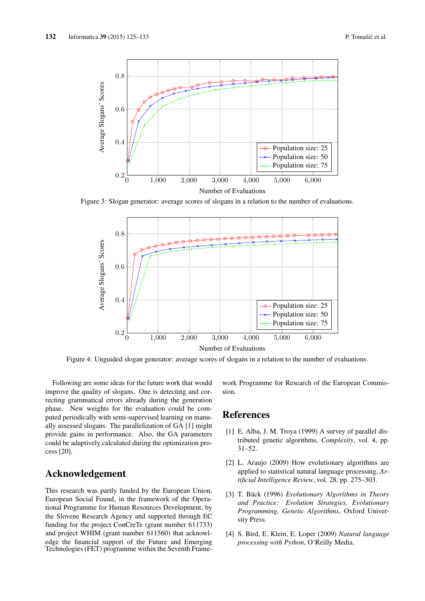

Figure 3: Slogan generator: average scores of slogans in a relation to the number of evaluations.



Figure 4: Unguided slogan generator: average scores of slogans in a relation to the number of evaluations.

Following are some ideas for the future work that would improve the quality of slogans. One is detecting and correcting grammatical errors already during the generation phase. New weights for the evaluation could be computed periodically with semi-supervised learning on manually assessed slogans. The parallelization of GA [1] might provide gains in performance. Also, the GA parameters could be adaptively calculated during the optimization process [20].

# Acknowledgement

This research was partly funded by the European Union, European Social Found, in the framework of the Operational Programme for Human Resources Development, by the Slovene Research Agency and supported through EC funding for the project ConCreTe (grant number 611733) and project WHIM (grant number 611560) that acknowledge the financial support of the Future and Emerging Technologies (FET) programme within the Seventh Framework Programme for Research of the European Commission.

# References

- [1] E. Alba, J. M. Troya (1999) A survey of parallel distributed genetic algorithms, *Complexity*, vol. 4, pp. 31–52.
- [2] L. Araujo (2009) How evolutionary algorithms are applied to statistical natural language processing, *Artificial Intelligence Review*, vol. 28, pp. 275–303.
- [3] T. Bäck (1996) *Evolutionary Algorithms in Theory and Practice: Evolution Strategies, Evolutionary Programming, Genetic Algorithms*, Oxford University Press.
- [4] S. Bird, E. Klein, E. Loper (2009) *Natural language processing with Python*, O'Reilly Media.